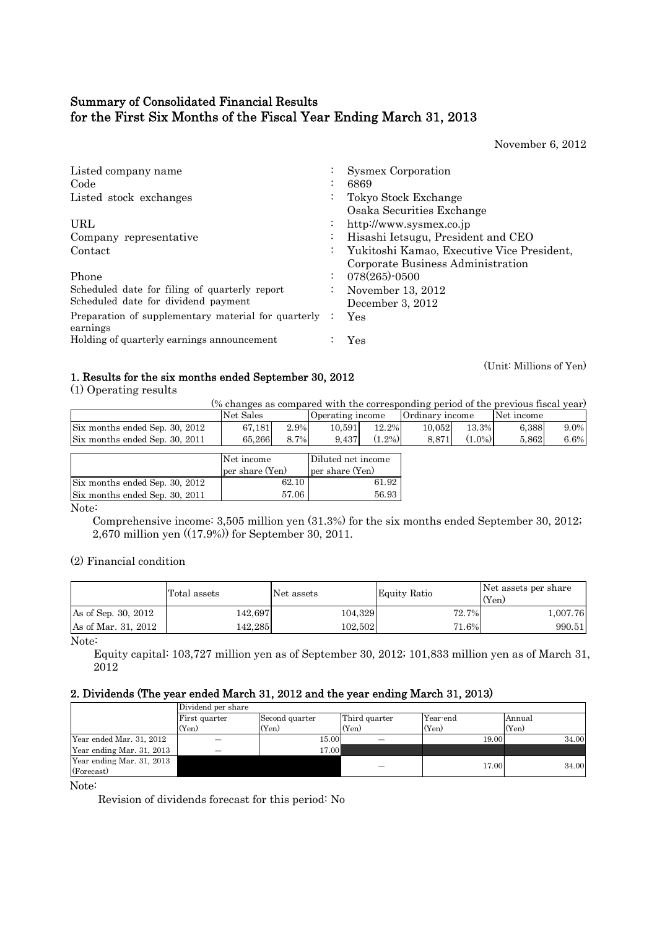## Summary of Consolidated Financial Results for the First Six Months of the Fiscal Year Ending March 31, 2013

November 6, 2012

| Listed company name                                 | $\cdot$              | <b>Sysmex Corporation</b>                  |
|-----------------------------------------------------|----------------------|--------------------------------------------|
| Code                                                | $\cdot$              | 6869                                       |
| Listed stock exchanges                              | $\bullet$            | Tokyo Stock Exchange                       |
|                                                     |                      | Osaka Securities Exchange                  |
| URL                                                 | $\bullet$            | http://www.sysmex.co.jp                    |
| Company representative                              | $\bullet$            | Hisashi Ietsugu, President and CEO         |
| Contact                                             | $\ddot{\phantom{0}}$ | Yukitoshi Kamao, Executive Vice President, |
|                                                     |                      | Corporate Business Administration          |
| Phone                                               |                      | 078(265)-0500                              |
| Scheduled date for filing of quarterly report       | $\bullet$            | November 13, 2012                          |
| Scheduled date for dividend payment                 |                      | December 3, 2012                           |
| Preparation of supplementary material for quarterly |                      | Yes                                        |
| earnings                                            |                      |                                            |
| Holding of quarterly earnings announcement          |                      | Yes                                        |
|                                                     |                      |                                            |

(Unit: Millions of Yen) 1. Results for the six months ended September 30, 2012

(1) Operating results

| (% changes as compared with the corresponding period of the previous fiscal year) |            |      |                    |           |                 |           |            |         |  |  |
|-----------------------------------------------------------------------------------|------------|------|--------------------|-----------|-----------------|-----------|------------|---------|--|--|
|                                                                                   | Net Sales  |      | Operating income   |           | Ordinary income |           | Net income |         |  |  |
| Six months ended Sep. 30, 2012                                                    | 67.181     | 2.9% | 10.591             | $12.2\%$  | 10.052          | 13.3%     | 6.388      | $9.0\%$ |  |  |
| Six months ended Sep. 30, 2011                                                    | 65.266     | 8.7% | 9.437              | $(1.2\%)$ | 8.871           | $(1.0\%)$ | 5.862      | 6.6%    |  |  |
|                                                                                   |            |      |                    |           |                 |           |            |         |  |  |
|                                                                                   | Net income |      | Diluted net income |           |                 |           |            |         |  |  |

|                                | Net income      | Diluted net income |
|--------------------------------|-----------------|--------------------|
|                                | per share (Yen) | per share (Yen)    |
| Six months ended Sep. 30, 2012 | 62.10           | 61.92              |
| Six months ended Sep. 30, 2011 | 57.06           | 56.93              |
|                                |                 |                    |

Note:

 Comprehensive income: 3,505 million yen (31.3%) for the six months ended September 30, 2012; 2,670 million yen ((17.9%)) for September 30, 2011.

(2) Financial condition

|                     | Total assets | Net assets | Equity Ratio | Net assets per share<br>(Yen) |
|---------------------|--------------|------------|--------------|-------------------------------|
| As of Sep. 30, 2012 | 142.697      | 104,329    | 72.7%        | 1,007.76                      |
| As of Mar. 31, 2012 | 142.285      | 102,502    | 71.6%        | 990.51                        |

Note:

Equity capital: 103,727 million yen as of September 30, 2012; 101,833 million yen as of March 31, 2012

## 2. Dividends (The year ended March 31, 2012 and the year ending March 31, 2013)

|                                         | Dividend per share |                |               |          |        |
|-----------------------------------------|--------------------|----------------|---------------|----------|--------|
|                                         | First quarter      | Second quarter | Third quarter | Year-end | Annual |
|                                         | (Yen)              | (Yen)          | (Yen)         | (Yen)    | (Yen)  |
| Year ended Mar. 31, 2012                |                    | 15.00          |               | 19.00    | 34.00  |
| Year ending Mar. 31, 2013               |                    | 17.00          |               |          |        |
| Year ending Mar. 31, 2013<br>(Forecast) |                    |                |               | 17.00    | 34.00  |

Note:

Revision of dividends forecast for this period: No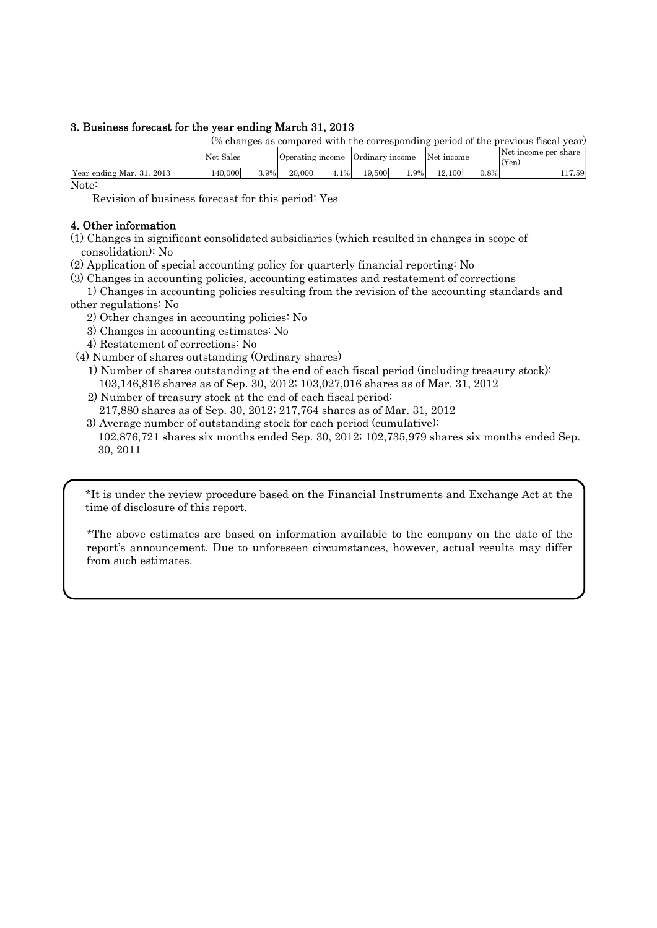## 3. Business forecast for the year ending March 31, 2013

|                           |           |      |        |      |                                             |        |        |         | (% changes as compared with the corresponding period of the previous fiscal year) |
|---------------------------|-----------|------|--------|------|---------------------------------------------|--------|--------|---------|-----------------------------------------------------------------------------------|
|                           | Net Sales |      |        |      | Operating income Ordinary income Net income |        |        |         | Net income per share<br>(Yen)                                                     |
| Year ending Mar. 31, 2013 | 140.000   | 3.9% | 20,000 | 4.1% | 19.500                                      | $.9\%$ | 12.100 | $0.8\%$ | 117.591                                                                           |

Note:

Revision of business forecast for this period: Yes

## 4. Other information

(1) Changes in significant consolidated subsidiaries (which resulted in changes in scope of consolidation): No

(2) Application of special accounting policy for quarterly financial reporting: No

(3) Changes in accounting policies, accounting estimates and restatement of corrections

 1) Changes in accounting policies resulting from the revision of the accounting standards and other regulations: No

- 2) Other changes in accounting policies: No
- 3) Changes in accounting estimates: No
- 4) Restatement of corrections: No

(4) Number of shares outstanding (Ordinary shares)

1) Number of shares outstanding at the end of each fiscal period (including treasury stock): 103,146,816 shares as of Sep. 30, 2012; 103,027,016 shares as of Mar. 31, 2012

2) Number of treasury stock at the end of each fiscal period:

217,880 shares as of Sep. 30, 2012; 217,764 shares as of Mar. 31, 2012

 3) Average number of outstanding stock for each period (cumulative): 102,876,721 shares six months ended Sep. 30, 2012; 102,735,979 shares six months ended Sep. 30, 2011

\*It is under the review procedure based on the Financial Instruments and Exchange Act at the time of disclosure of this report.

\*The above estimates are based on information available to the company on the date of the report's announcement. Due to unforeseen circumstances, however, actual results may differ from such estimates.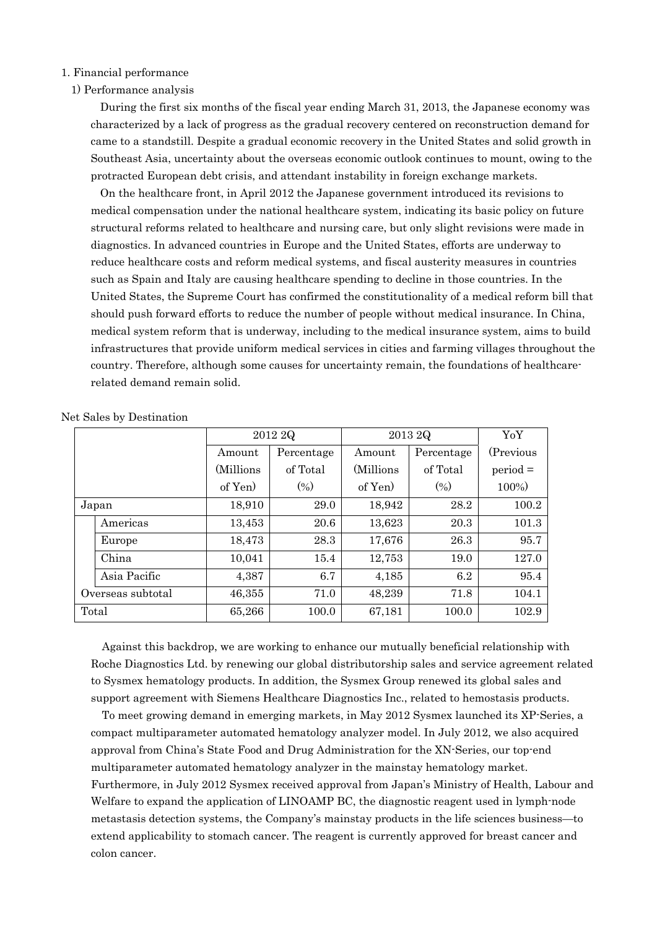- 1. Financial performance
- 1) Performance analysis

During the first six months of the fiscal year ending March 31, 2013, the Japanese economy was characterized by a lack of progress as the gradual recovery centered on reconstruction demand for came to a standstill. Despite a gradual economic recovery in the United States and solid growth in Southeast Asia, uncertainty about the overseas economic outlook continues to mount, owing to the protracted European debt crisis, and attendant instability in foreign exchange markets.

On the healthcare front, in April 2012 the Japanese government introduced its revisions to medical compensation under the national healthcare system, indicating its basic policy on future structural reforms related to healthcare and nursing care, but only slight revisions were made in diagnostics. In advanced countries in Europe and the United States, efforts are underway to reduce healthcare costs and reform medical systems, and fiscal austerity measures in countries such as Spain and Italy are causing healthcare spending to decline in those countries. In the United States, the Supreme Court has confirmed the constitutionality of a medical reform bill that should push forward efforts to reduce the number of people without medical insurance. In China, medical system reform that is underway, including to the medical insurance system, aims to build infrastructures that provide uniform medical services in cities and farming villages throughout the country. Therefore, although some causes for uncertainty remain, the foundations of healthcarerelated demand remain solid.

|                   |            | 2012 2Q    | 2013 2Q   | YoY        |            |
|-------------------|------------|------------|-----------|------------|------------|
|                   | Amount     | Percentage | Amount    | Percentage | (Previous) |
|                   | (Millions) | of Total   | (Millions | of Total   | $period =$ |
|                   | of Yen)    | $(\%)$     | of Yen    | (0/0)      | 100%)      |
| Japan             | 18,910     | 29.0       | 18,942    | 28.2       | 100.2      |
| Americas          | 13,453     | 20.6       | 13,623    | 20.3       | 101.3      |
| Europe            | 18,473     | 28.3       | 17,676    | 26.3       | 95.7       |
| China             | 10,041     | 15.4       | 12,753    | 19.0       | 127.0      |
| Asia Pacific      | 4,387      | 6.7        | 4,185     | 6.2        | 95.4       |
| Overseas subtotal | 46,355     | 71.0       | 48,239    | 71.8       | 104.1      |
| Total             | 65,266     | 100.0      | 67,181    | 100.0      | 102.9      |

Net Sales by Destination

Against this backdrop, we are working to enhance our mutually beneficial relationship with Roche Diagnostics Ltd. by renewing our global distributorship sales and service agreement related to Sysmex hematology products. In addition, the Sysmex Group renewed its global sales and support agreement with Siemens Healthcare Diagnostics Inc., related to hemostasis products.

To meet growing demand in emerging markets, in May 2012 Sysmex launched its XP-Series, a compact multiparameter automated hematology analyzer model. In July 2012, we also acquired approval from China's State Food and Drug Administration for the XN-Series, our top-end multiparameter automated hematology analyzer in the mainstay hematology market. Furthermore, in July 2012 Sysmex received approval from Japan's Ministry of Health, Labour and Welfare to expand the application of LINOAMP BC, the diagnostic reagent used in lymph-node metastasis detection systems, the Company's mainstay products in the life sciences business—to extend applicability to stomach cancer. The reagent is currently approved for breast cancer and colon cancer.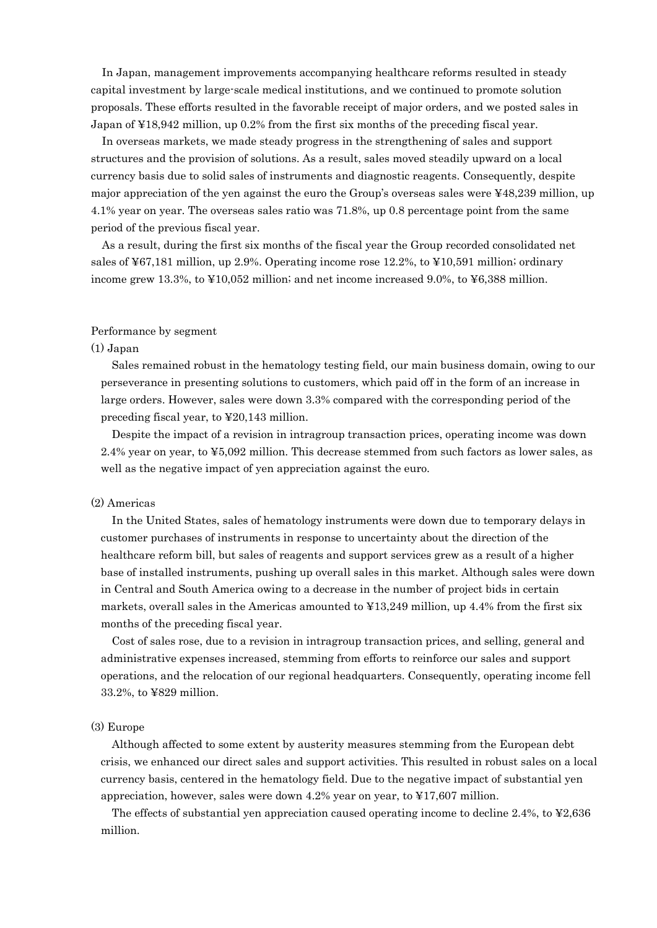In Japan, management improvements accompanying healthcare reforms resulted in steady capital investment by large-scale medical institutions, and we continued to promote solution proposals. These efforts resulted in the favorable receipt of major orders, and we posted sales in Japan of ¥18,942 million, up 0.2% from the first six months of the preceding fiscal year.

In overseas markets, we made steady progress in the strengthening of sales and support structures and the provision of solutions. As a result, sales moved steadily upward on a local currency basis due to solid sales of instruments and diagnostic reagents. Consequently, despite major appreciation of the yen against the euro the Group's overseas sales were ¥48,239 million, up 4.1% year on year. The overseas sales ratio was 71.8%, up 0.8 percentage point from the same period of the previous fiscal year.

As a result, during the first six months of the fiscal year the Group recorded consolidated net sales of  $\frac{1}{2}67,181$  million, up 2.9%. Operating income rose 12.2%, to  $\frac{1}{2}10,591$  million; ordinary income grew 13.3%, to ¥10,052 million; and net income increased 9.0%, to ¥6,388 million.

#### Performance by segment

#### (1) Japan

Sales remained robust in the hematology testing field, our main business domain, owing to our perseverance in presenting solutions to customers, which paid off in the form of an increase in large orders. However, sales were down 3.3% compared with the corresponding period of the preceding fiscal year, to ¥20,143 million.

Despite the impact of a revision in intragroup transaction prices, operating income was down 2.4% year on year, to ¥5,092 million. This decrease stemmed from such factors as lower sales, as well as the negative impact of yen appreciation against the euro.

#### (2) Americas

In the United States, sales of hematology instruments were down due to temporary delays in customer purchases of instruments in response to uncertainty about the direction of the healthcare reform bill, but sales of reagents and support services grew as a result of a higher base of installed instruments, pushing up overall sales in this market. Although sales were down in Central and South America owing to a decrease in the number of project bids in certain markets, overall sales in the Americas amounted to  $\text{\textsterling}13,249$  million, up 4.4% from the first six months of the preceding fiscal year.

Cost of sales rose, due to a revision in intragroup transaction prices, and selling, general and administrative expenses increased, stemming from efforts to reinforce our sales and support operations, and the relocation of our regional headquarters. Consequently, operating income fell 33.2%, to ¥829 million.

#### (3) Europe

Although affected to some extent by austerity measures stemming from the European debt crisis, we enhanced our direct sales and support activities. This resulted in robust sales on a local currency basis, centered in the hematology field. Due to the negative impact of substantial yen appreciation, however, sales were down 4.2% year on year, to ¥17,607 million.

The effects of substantial yen appreciation caused operating income to decline 2.4%, to  $\textless 2,636$ million.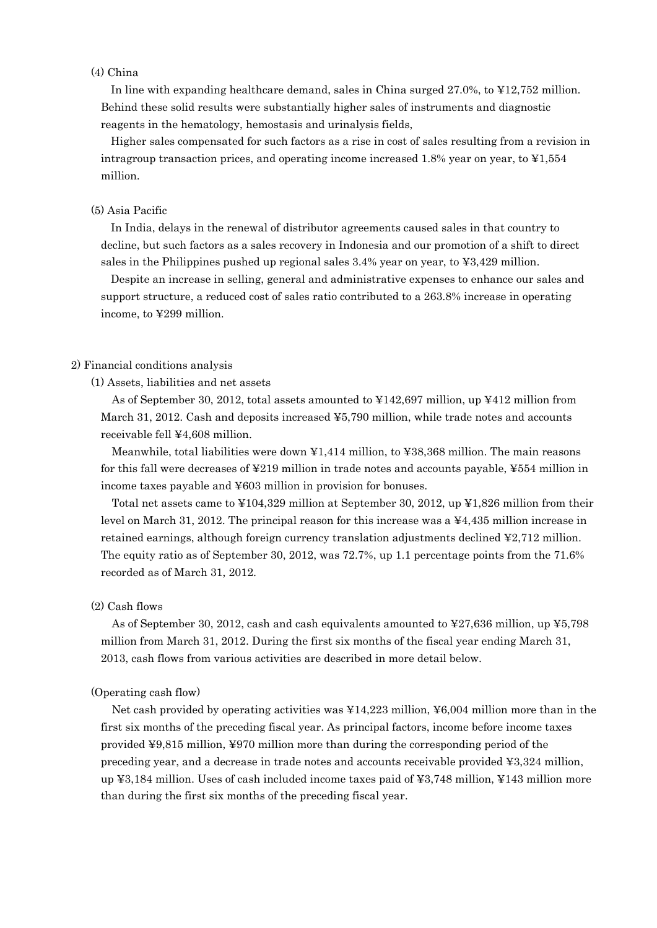#### (4) China

In line with expanding healthcare demand, sales in China surged 27.0%, to ¥12,752 million. Behind these solid results were substantially higher sales of instruments and diagnostic reagents in the hematology, hemostasis and urinalysis fields,

Higher sales compensated for such factors as a rise in cost of sales resulting from a revision in intragroup transaction prices, and operating income increased 1.8% year on year, to  $\text{\textsterling}1,554$ million.

#### (5) Asia Pacific

In India, delays in the renewal of distributor agreements caused sales in that country to decline, but such factors as a sales recovery in Indonesia and our promotion of a shift to direct sales in the Philippines pushed up regional sales 3.4% year on year, to ¥3,429 million.

Despite an increase in selling, general and administrative expenses to enhance our sales and support structure, a reduced cost of sales ratio contributed to a 263.8% increase in operating income, to ¥299 million.

#### 2) Financial conditions analysis

(1) Assets, liabilities and net assets

As of September 30, 2012, total assets amounted to ¥142,697 million, up ¥412 million from March 31, 2012. Cash and deposits increased ¥5,790 million, while trade notes and accounts receivable fell ¥4,608 million.

Meanwhile, total liabilities were down ¥1,414 million, to ¥38,368 million. The main reasons for this fall were decreases of ¥219 million in trade notes and accounts payable, ¥554 million in income taxes payable and ¥603 million in provision for bonuses.

Total net assets came to ¥104,329 million at September 30, 2012, up ¥1,826 million from their level on March 31, 2012. The principal reason for this increase was a ¥4,435 million increase in retained earnings, although foreign currency translation adjustments declined ¥2,712 million. The equity ratio as of September 30, 2012, was 72.7%, up 1.1 percentage points from the 71.6% recorded as of March 31, 2012.

#### (2) Cash flows

As of September 30, 2012, cash and cash equivalents amounted to ¥27,636 million, up ¥5,798 million from March 31, 2012. During the first six months of the fiscal year ending March 31, 2013, cash flows from various activities are described in more detail below.

#### (Operating cash flow)

Net cash provided by operating activities was  $\frac{1}{4}4.223$  million,  $\frac{1}{2}6.004$  million more than in the first six months of the preceding fiscal year. As principal factors, income before income taxes provided ¥9,815 million, ¥970 million more than during the corresponding period of the preceding year, and a decrease in trade notes and accounts receivable provided ¥3,324 million, up ¥3,184 million. Uses of cash included income taxes paid of ¥3,748 million, ¥143 million more than during the first six months of the preceding fiscal year.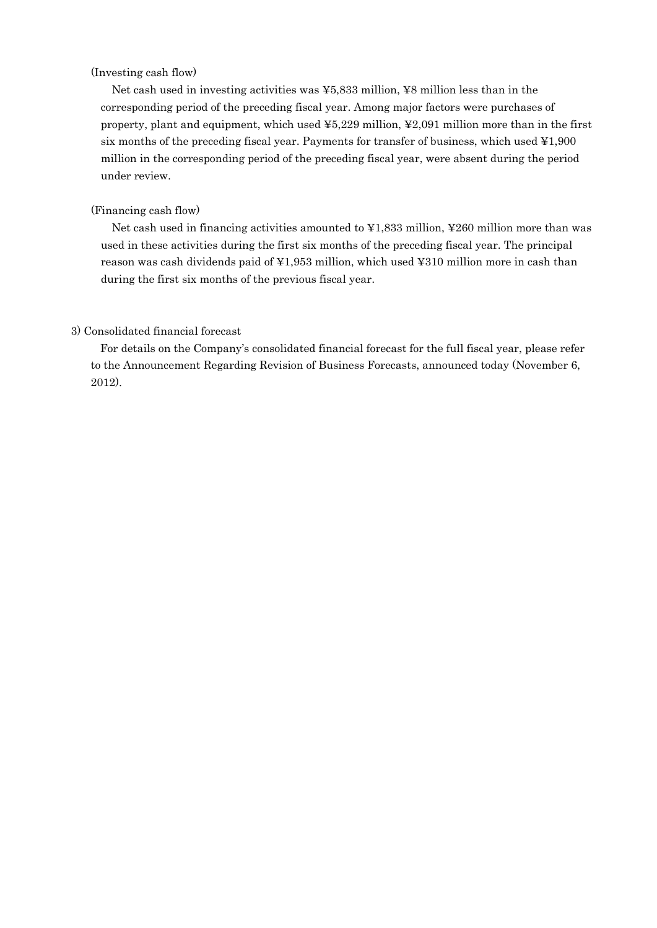## (Investing cash flow)

Net cash used in investing activities was ¥5,833 million, ¥8 million less than in the corresponding period of the preceding fiscal year. Among major factors were purchases of property, plant and equipment, which used ¥5,229 million, ¥2,091 million more than in the first six months of the preceding fiscal year. Payments for transfer of business, which used ¥1,900 million in the corresponding period of the preceding fiscal year, were absent during the period under review.

#### (Financing cash flow)

Net cash used in financing activities amounted to ¥1,833 million, ¥260 million more than was used in these activities during the first six months of the preceding fiscal year. The principal reason was cash dividends paid of ¥1,953 million, which used ¥310 million more in cash than during the first six months of the previous fiscal year.

## 3) Consolidated financial forecast

For details on the Company's consolidated financial forecast for the full fiscal year, please refer to the Announcement Regarding Revision of Business Forecasts, announced today (November 6, 2012).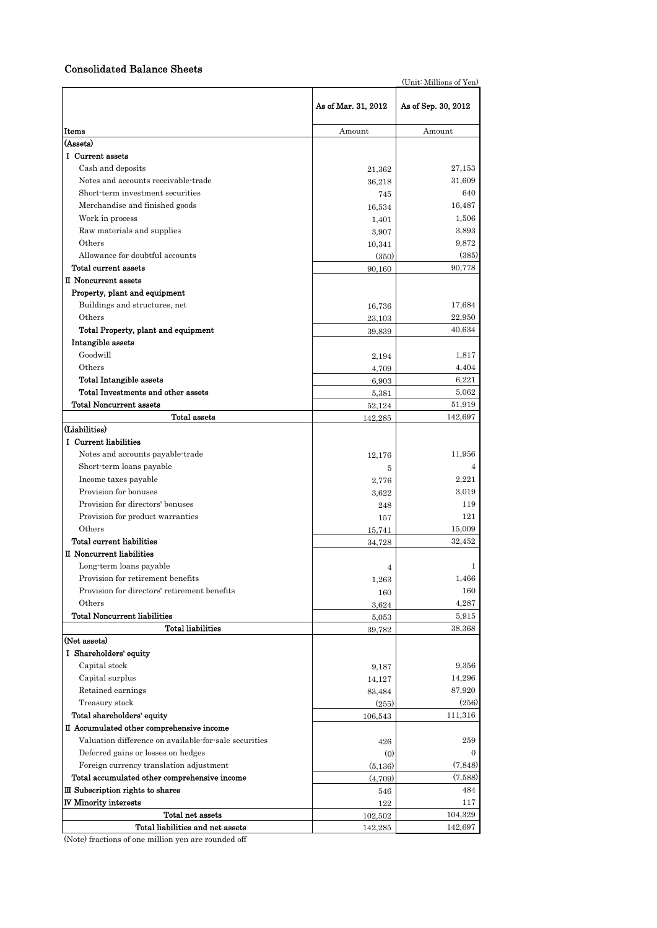## Consolidated Balance Sheets

| (Unit: Millions of Yen)                                              |                     |                     |  |  |  |
|----------------------------------------------------------------------|---------------------|---------------------|--|--|--|
|                                                                      | As of Mar. 31, 2012 | As of Sep. 30, 2012 |  |  |  |
| Items                                                                | Amount              | Amount              |  |  |  |
| (Assets)                                                             |                     |                     |  |  |  |
| I Current assets                                                     |                     |                     |  |  |  |
| Cash and deposits                                                    | 21,362              | 27,153              |  |  |  |
| Notes and accounts receivable-trade                                  | 36,218              | 31,609              |  |  |  |
| Short-term investment securities                                     | 745                 | 640                 |  |  |  |
| Merchandise and finished goods                                       | 16,534              | 16,487              |  |  |  |
| Work in process                                                      | 1,401               | 1.506               |  |  |  |
| Raw materials and supplies                                           | 3,907               | 3,893               |  |  |  |
| Others                                                               | 10,341              | 9,872               |  |  |  |
| Allowance for doubtful accounts                                      | (350)               | (385)               |  |  |  |
| Total current assets                                                 | 90,160              | 90,778              |  |  |  |
| II Noncurrent assets                                                 |                     |                     |  |  |  |
| Property, plant and equipment                                        |                     |                     |  |  |  |
| Buildings and structures, net                                        | 16,736              | 17,684              |  |  |  |
| Others                                                               | 23,103              | 22,950              |  |  |  |
| Total Property, plant and equipment                                  | 39,839              | 40,634              |  |  |  |
| Intangible assets<br>Goodwill                                        |                     |                     |  |  |  |
|                                                                      | 2,194               | 1,817               |  |  |  |
| Others                                                               | 4,709               | 4,404               |  |  |  |
| <b>Total Intangible assets</b><br>Total Investments and other assets | 6,903               | 6,221<br>5,062      |  |  |  |
| <b>Total Noncurrent assets</b>                                       | 5,381               | 51,919              |  |  |  |
| Total assets                                                         | 52,124              | 142,697             |  |  |  |
| (Liabilities)                                                        | 142,285             |                     |  |  |  |
| I Current liabilities                                                |                     |                     |  |  |  |
| Notes and accounts payable-trade                                     | 12,176              | 11,956              |  |  |  |
| Short-term loans payable                                             | 5                   | 4                   |  |  |  |
| Income taxes payable                                                 | 2,776               | 2,221               |  |  |  |
| Provision for bonuses                                                | 3,622               | 3,019               |  |  |  |
| Provision for directors' bonuses                                     | 248                 | 119                 |  |  |  |
| Provision for product warranties                                     | 157                 | 121                 |  |  |  |
| Others                                                               | 15,741              | 15,009              |  |  |  |
| Total current liabilities                                            | 34,728              | 32,452              |  |  |  |
| II Noncurrent liabilities                                            |                     |                     |  |  |  |
| Long-term loans payable                                              | 4                   | 1                   |  |  |  |
| Provision for retirement benefits                                    | 1,263               | 1,466               |  |  |  |
| Provision for directors' retirement benefits                         | 160                 | 160                 |  |  |  |
| Others                                                               | 3,624               | 4,287               |  |  |  |
| <b>Total Noncurrent liabilities</b>                                  | 5,053               | 5,915               |  |  |  |
| <b>Total liabilities</b>                                             | 39,782              | 38,368              |  |  |  |
| (Net assets)                                                         |                     |                     |  |  |  |
| I Shareholders' equity                                               |                     |                     |  |  |  |
| Capital stock                                                        | 9,187               | 9,356               |  |  |  |
| Capital surplus                                                      | 14,127              | 14,296              |  |  |  |
| Retained earnings                                                    | 83,484              | 87,920              |  |  |  |
| Treasury stock                                                       | (255)               | (256)               |  |  |  |
| Total shareholders' equity                                           | 106,543             | 111,316             |  |  |  |
| II Accumulated other comprehensive income                            |                     |                     |  |  |  |
| Valuation difference on available-for-sale securities                | 426                 | 259                 |  |  |  |
| Deferred gains or losses on hedges                                   | $\left( 0 \right)$  | $\mathbf{0}$        |  |  |  |
| Foreign currency translation adjustment                              | (5, 136)            | (7, 848)            |  |  |  |
| Total accumulated other comprehensive income                         | (4,709)             | (7,588)             |  |  |  |
| III Subscription rights to shares                                    | 546                 | 484                 |  |  |  |
| <b>IV Minority interests</b>                                         | 122                 | 117                 |  |  |  |
| Total net assets                                                     | 102,502             | 104,329             |  |  |  |
| Total liabilities and net assets                                     | 142,285             | 142,697             |  |  |  |

(Note) fractions of one million yen are rounded off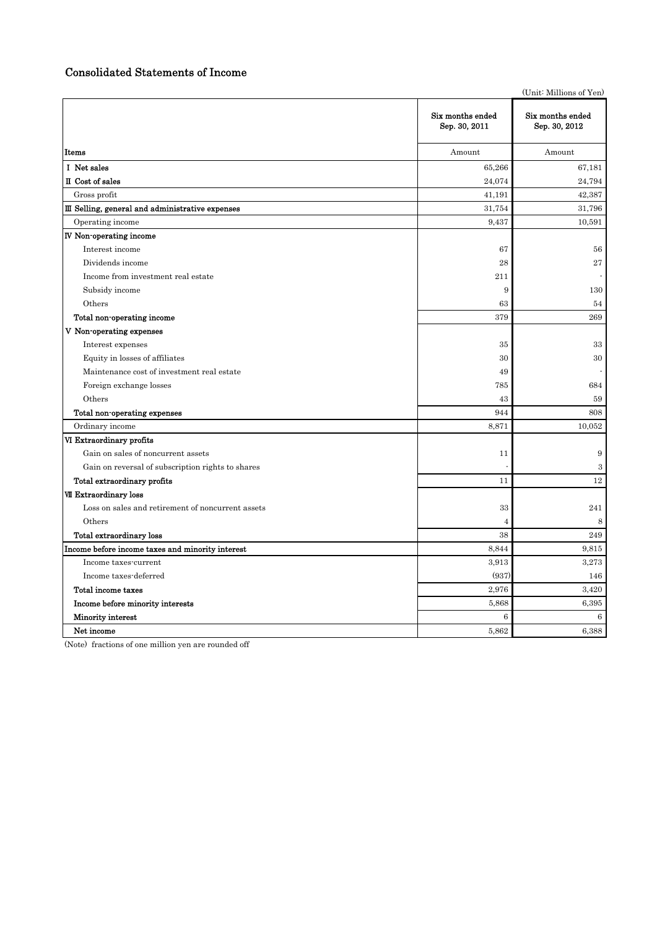## Consolidated Statements of Income

|                                                   |                                   | (Unit: Millions of Yen)           |
|---------------------------------------------------|-----------------------------------|-----------------------------------|
|                                                   | Six months ended<br>Sep. 30, 2011 | Six months ended<br>Sep. 30, 2012 |
| Items                                             | Amount                            | Amount                            |
| I Net sales                                       | 65,266                            | 67,181                            |
| II Cost of sales                                  | 24,074                            | 24,794                            |
| Gross profit                                      | 41,191                            | 42,387                            |
| III Selling, general and administrative expenses  | 31,754                            | 31,796                            |
| Operating income                                  | 9,437                             | 10,591                            |
| IV Non-operating income                           |                                   |                                   |
| Interest income                                   | 67                                | 56                                |
| Dividends income                                  | 28                                | $\sqrt{27}$                       |
| Income from investment real estate                | 211                               |                                   |
| Subsidy income                                    | 9                                 | 130                               |
| Others                                            | 63                                | 54                                |
| Total non-operating income                        | 379                               | 269                               |
| V Non-operating expenses                          |                                   |                                   |
| Interest expenses                                 | 35                                | 33                                |
| Equity in losses of affiliates                    | 30                                | 30                                |
| Maintenance cost of investment real estate        | 49                                |                                   |
| Foreign exchange losses                           | 785                               | 684                               |
| Others                                            | 43                                | 59                                |
| Total non-operating expenses                      | 944                               | 808                               |
| Ordinary income                                   | 8,871                             | 10,052                            |
| VI Extraordinary profits                          |                                   |                                   |
| Gain on sales of noncurrent assets                | 11                                | $\boldsymbol{9}$                  |
| Gain on reversal of subscription rights to shares |                                   | 3                                 |
| Total extraordinary profits                       | 11                                | 12                                |
| VII Extraordinary loss                            |                                   |                                   |
| Loss on sales and retirement of noncurrent assets | 33                                | 241                               |
| Others                                            | $\overline{4}$                    | 8                                 |
| <b>Total extraordinary loss</b>                   | 38                                | 249                               |
| Income before income taxes and minority interest  | 8,844                             | 9,815                             |
| Income taxes-current                              | 3,913                             | 3,273                             |
| Income taxes-deferred                             | (937)                             | 146                               |
| Total income taxes                                | 2,976                             | 3,420                             |
| Income before minority interests                  | 5,868                             | 6,395                             |
| Minority interest                                 | $\,6$                             | 6                                 |
| Net income                                        | 5,862                             | 6,388                             |

(Note) fractions of one million yen are rounded off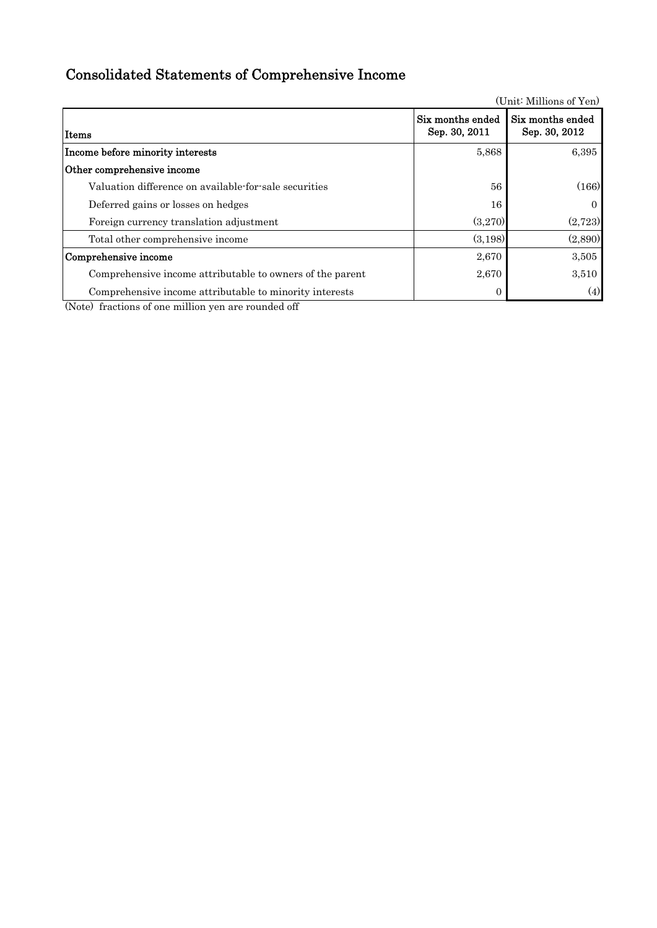# Consolidated Statements of Comprehensive Income

Items Income before minority interests 6,395 Other comprehensive income Valuation difference on available-for-sale securities 56 (166) Deferred gains or losses on hedges 16 0 Foreign currency translation adjustment (3,270) (2,723) Total other comprehensive income (3,198) (2,890) Comprehensive income  $2,670$  3,505 Comprehensive income attributable to owners of the parent  $2,670$   $3,510$ Comprehensive income attributable to minority interests 0 (4) Six months ended Sep. 30, 2011 Six months ended Sep. 30, 2012

(Note) fractions of one million yen are rounded off

(Unit: Millions of Yen)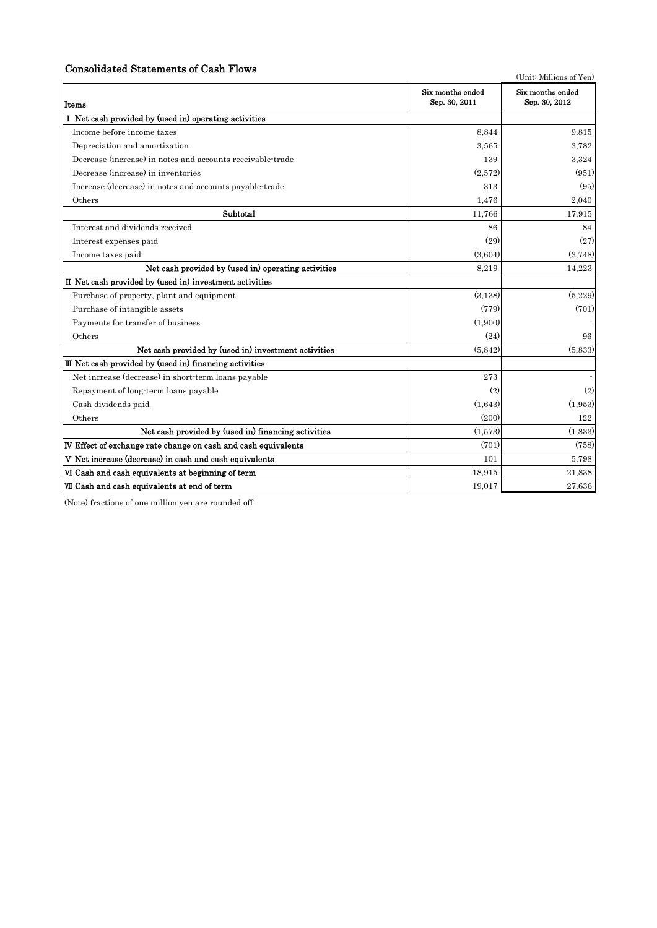## Consolidated Statements of Cash Flows

(Unit: Millions of Yen)

| Items                                                          | Six months ended<br>Sep. 30, 2011 | Six months ended<br>Sep. 30, 2012 |
|----------------------------------------------------------------|-----------------------------------|-----------------------------------|
| I Net cash provided by (used in) operating activities          |                                   |                                   |
| Income before income taxes                                     | 8.844                             | 9.815                             |
| Depreciation and amortization                                  | 3,565                             | 3,782                             |
| Decrease (increase) in notes and accounts receivable-trade     | 139                               | 3,324                             |
| Decrease (increase) in inventories                             | (2,572)                           | (951)                             |
| Increase (decrease) in notes and accounts payable-trade        | 313                               | (95)                              |
| Others                                                         | 1,476                             | 2.040                             |
| Subtotal                                                       | 11,766                            | 17,915                            |
| Interest and dividends received                                | 86                                | 84                                |
| Interest expenses paid                                         | (29)                              | (27)                              |
| Income taxes paid                                              | (3,604)                           | (3,748)                           |
| Net cash provided by (used in) operating activities            | 8,219                             | 14,223                            |
| II Net cash provided by (used in) investment activities        |                                   |                                   |
| Purchase of property, plant and equipment                      | (3,138)                           | (5,229)                           |
| Purchase of intangible assets                                  | (779)                             | (701)                             |
| Payments for transfer of business                              | (1,900)                           |                                   |
| Others                                                         | (24)                              | 96                                |
| Net cash provided by (used in) investment activities           | (5,842)                           | (5,833)                           |
| III Net cash provided by (used in) financing activities        |                                   |                                   |
| Net increase (decrease) in short-term loans payable            | 273                               |                                   |
| Repayment of long-term loans payable                           | (2)                               | (2)                               |
| Cash dividends paid                                            | (1,643)                           | (1,953)                           |
| Others                                                         | (200)                             | 122                               |
| Net cash provided by (used in) financing activities            | (1,573)                           | (1,833)                           |
| IV Effect of exchange rate change on cash and cash equivalents | (701)                             | (758)                             |
| V Net increase (decrease) in cash and cash equivalents         | 101                               | 5,798                             |
| VI Cash and cash equivalents at beginning of term              | 18,915                            | 21,838                            |
| VII Cash and cash equivalents at end of term                   | 19,017                            | 27,636                            |

(Note) fractions of one million yen are rounded off